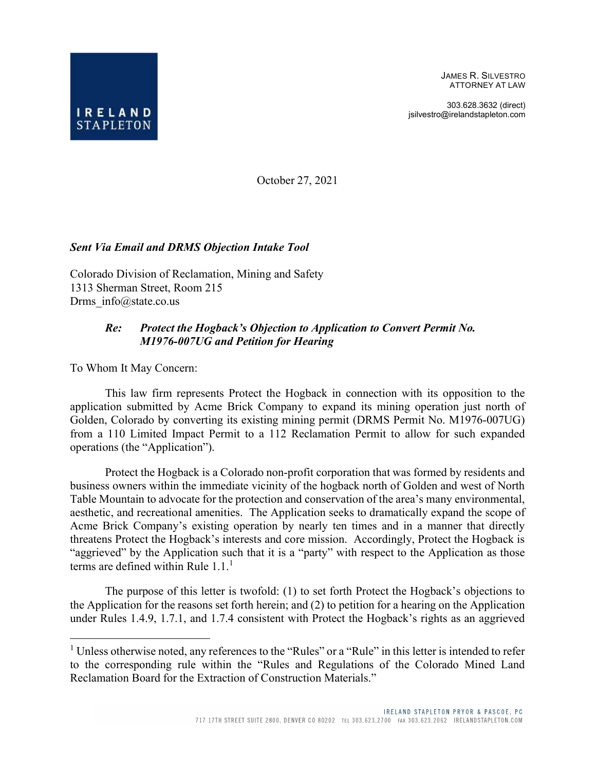JAMES R. SILVESTRO ATTORNEY AT LAW

303.628.3632 (direct) jsilvestro@irelandstapleton.com



October 27, 2021

#### Sent Via Email and DRMS Objection Intake Tool

Colorado Division of Reclamation, Mining and Safety 1313 Sherman Street, Room 215 Drms info@state.co.us

#### Re: Protect the Hogback's Objection to Application to Convert Permit No. M1976-007UG and Petition for Hearing

To Whom It May Concern:

This law firm represents Protect the Hogback in connection with its opposition to the application submitted by Acme Brick Company to expand its mining operation just north of Golden, Colorado by converting its existing mining permit (DRMS Permit No. M1976-007UG) from a 110 Limited Impact Permit to a 112 Reclamation Permit to allow for such expanded operations (the "Application").

Protect the Hogback is a Colorado non-profit corporation that was formed by residents and business owners within the immediate vicinity of the hogback north of Golden and west of North Table Mountain to advocate for the protection and conservation of the area's many environmental, aesthetic, and recreational amenities. The Application seeks to dramatically expand the scope of Acme Brick Company's existing operation by nearly ten times and in a manner that directly threatens Protect the Hogback's interests and core mission. Accordingly, Protect the Hogback is "aggrieved" by the Application such that it is a "party" with respect to the Application as those terms are defined within Rule  $1.1<sup>1</sup>$ 

The purpose of this letter is twofold: (1) to set forth Protect the Hogback's objections to the Application for the reasons set forth herein; and (2) to petition for a hearing on the Application under Rules 1.4.9, 1.7.1, and 1.7.4 consistent with Protect the Hogback's rights as an aggrieved

<sup>&</sup>lt;sup>1</sup> Unless otherwise noted, any references to the "Rules" or a "Rule" in this letter is intended to refer to the corresponding rule within the "Rules and Regulations of the Colorado Mined Land Reclamation Board for the Extraction of Construction Materials."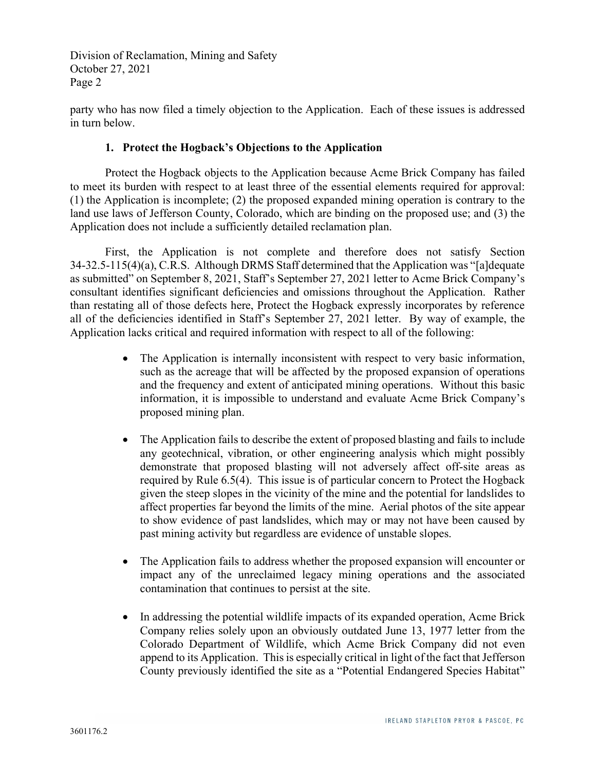party who has now filed a timely objection to the Application. Each of these issues is addressed in turn below.

#### 1. Protect the Hogback's Objections to the Application

Protect the Hogback objects to the Application because Acme Brick Company has failed to meet its burden with respect to at least three of the essential elements required for approval: (1) the Application is incomplete; (2) the proposed expanded mining operation is contrary to the land use laws of Jefferson County, Colorado, which are binding on the proposed use; and (3) the Application does not include a sufficiently detailed reclamation plan.

First, the Application is not complete and therefore does not satisfy Section 34-32.5-115(4)(a), C.R.S. Although DRMS Staff determined that the Application was "[a]dequate as submitted" on September 8, 2021, Staff's September 27, 2021 letter to Acme Brick Company's consultant identifies significant deficiencies and omissions throughout the Application. Rather than restating all of those defects here, Protect the Hogback expressly incorporates by reference all of the deficiencies identified in Staff's September 27, 2021 letter. By way of example, the Application lacks critical and required information with respect to all of the following:

- The Application is internally inconsistent with respect to very basic information, such as the acreage that will be affected by the proposed expansion of operations and the frequency and extent of anticipated mining operations. Without this basic information, it is impossible to understand and evaluate Acme Brick Company's proposed mining plan.
- The Application fails to describe the extent of proposed blasting and fails to include any geotechnical, vibration, or other engineering analysis which might possibly demonstrate that proposed blasting will not adversely affect off-site areas as required by Rule 6.5(4). This issue is of particular concern to Protect the Hogback given the steep slopes in the vicinity of the mine and the potential for landslides to affect properties far beyond the limits of the mine. Aerial photos of the site appear to show evidence of past landslides, which may or may not have been caused by past mining activity but regardless are evidence of unstable slopes.
- The Application fails to address whether the proposed expansion will encounter or impact any of the unreclaimed legacy mining operations and the associated contamination that continues to persist at the site.
- In addressing the potential wildlife impacts of its expanded operation, Acme Brick Company relies solely upon an obviously outdated June 13, 1977 letter from the Colorado Department of Wildlife, which Acme Brick Company did not even append to its Application. This is especially critical in light of the fact that Jefferson County previously identified the site as a "Potential Endangered Species Habitat"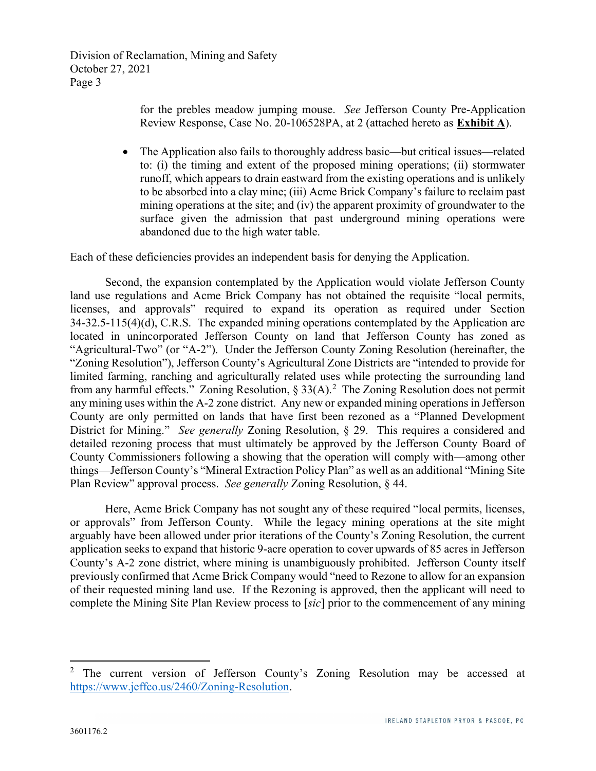> for the prebles meadow jumping mouse. See Jefferson County Pre-Application Review Response, Case No. 20-106528PA, at 2 (attached hereto as Exhibit A).

• The Application also fails to thoroughly address basic—but critical issues—related to: (i) the timing and extent of the proposed mining operations; (ii) stormwater runoff, which appears to drain eastward from the existing operations and is unlikely to be absorbed into a clay mine; (iii) Acme Brick Company's failure to reclaim past mining operations at the site; and (iv) the apparent proximity of groundwater to the surface given the admission that past underground mining operations were abandoned due to the high water table.

Each of these deficiencies provides an independent basis for denying the Application.

Second, the expansion contemplated by the Application would violate Jefferson County land use regulations and Acme Brick Company has not obtained the requisite "local permits, licenses, and approvals" required to expand its operation as required under Section 34-32.5-115(4)(d), C.R.S. The expanded mining operations contemplated by the Application are located in unincorporated Jefferson County on land that Jefferson County has zoned as "Agricultural-Two" (or "A-2"). Under the Jefferson County Zoning Resolution (hereinafter, the "Zoning Resolution"), Jefferson County's Agricultural Zone Districts are "intended to provide for limited farming, ranching and agriculturally related uses while protecting the surrounding land from any harmful effects." Zoning Resolution,  $\S 33(A)$ .<sup>2</sup> The Zoning Resolution does not permit any mining uses within the A-2 zone district. Any new or expanded mining operations in Jefferson County are only permitted on lands that have first been rezoned as a "Planned Development District for Mining." See generally Zoning Resolution,  $\S$  29. This requires a considered and detailed rezoning process that must ultimately be approved by the Jefferson County Board of County Commissioners following a showing that the operation will comply with—among other things—Jefferson County's "Mineral Extraction Policy Plan" as well as an additional "Mining Site Plan Review" approval process. See generally Zoning Resolution, § 44.

Here, Acme Brick Company has not sought any of these required "local permits, licenses, or approvals" from Jefferson County. While the legacy mining operations at the site might arguably have been allowed under prior iterations of the County's Zoning Resolution, the current application seeks to expand that historic 9-acre operation to cover upwards of 85 acres in Jefferson County's A-2 zone district, where mining is unambiguously prohibited. Jefferson County itself previously confirmed that Acme Brick Company would "need to Rezone to allow for an expansion of their requested mining land use. If the Rezoning is approved, then the applicant will need to complete the Mining Site Plan Review process to [sic] prior to the commencement of any mining

<sup>2</sup> The current version of Jefferson County's Zoning Resolution may be accessed at https://www.jeffco.us/2460/Zoning-Resolution.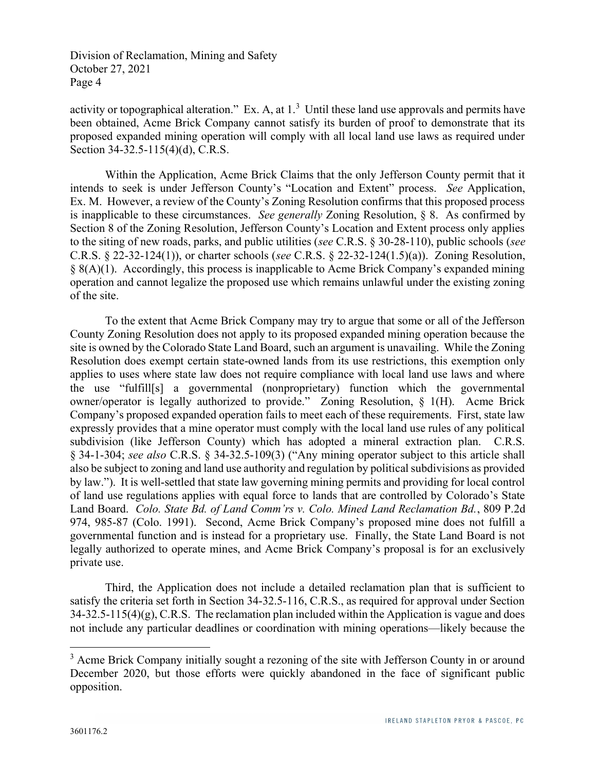activity or topographical alteration." Ex. A, at  $1<sup>3</sup>$  Until these land use approvals and permits have been obtained, Acme Brick Company cannot satisfy its burden of proof to demonstrate that its proposed expanded mining operation will comply with all local land use laws as required under Section 34-32.5-115(4)(d), C.R.S.

Within the Application, Acme Brick Claims that the only Jefferson County permit that it intends to seek is under Jefferson County's "Location and Extent" process. See Application, Ex. M. However, a review of the County's Zoning Resolution confirms that this proposed process is inapplicable to these circumstances. See generally Zoning Resolution,  $\S$  8. As confirmed by Section 8 of the Zoning Resolution, Jefferson County's Location and Extent process only applies to the siting of new roads, parks, and public utilities (see C.R.S. § 30-28-110), public schools (see C.R.S. § 22-32-124(1)), or charter schools (see C.R.S. § 22-32-124(1.5)(a)). Zoning Resolution, § 8(A)(1). Accordingly, this process is inapplicable to Acme Brick Company's expanded mining operation and cannot legalize the proposed use which remains unlawful under the existing zoning of the site.

To the extent that Acme Brick Company may try to argue that some or all of the Jefferson County Zoning Resolution does not apply to its proposed expanded mining operation because the site is owned by the Colorado State Land Board, such an argument is unavailing. While the Zoning Resolution does exempt certain state-owned lands from its use restrictions, this exemption only applies to uses where state law does not require compliance with local land use laws and where the use "fulfill[s] a governmental (nonproprietary) function which the governmental owner/operator is legally authorized to provide." Zoning Resolution, § 1(H). Acme Brick Company's proposed expanded operation fails to meet each of these requirements. First, state law expressly provides that a mine operator must comply with the local land use rules of any political subdivision (like Jefferson County) which has adopted a mineral extraction plan. C.R.S. § 34-1-304; see also C.R.S. § 34-32.5-109(3) ("Any mining operator subject to this article shall also be subject to zoning and land use authority and regulation by political subdivisions as provided by law."). It is well-settled that state law governing mining permits and providing for local control of land use regulations applies with equal force to lands that are controlled by Colorado's State Land Board. Colo. State Bd. of Land Comm'rs v. Colo. Mined Land Reclamation Bd., 809 P.2d 974, 985-87 (Colo. 1991). Second, Acme Brick Company's proposed mine does not fulfill a governmental function and is instead for a proprietary use. Finally, the State Land Board is not legally authorized to operate mines, and Acme Brick Company's proposal is for an exclusively private use.

Third, the Application does not include a detailed reclamation plan that is sufficient to satisfy the criteria set forth in Section 34-32.5-116, C.R.S., as required for approval under Section  $34-32.5-115(4)(g)$ , C.R.S. The reclamation plan included within the Application is vague and does not include any particular deadlines or coordination with mining operations—likely because the

<sup>&</sup>lt;sup>3</sup> Acme Brick Company initially sought a rezoning of the site with Jefferson County in or around December 2020, but those efforts were quickly abandoned in the face of significant public opposition.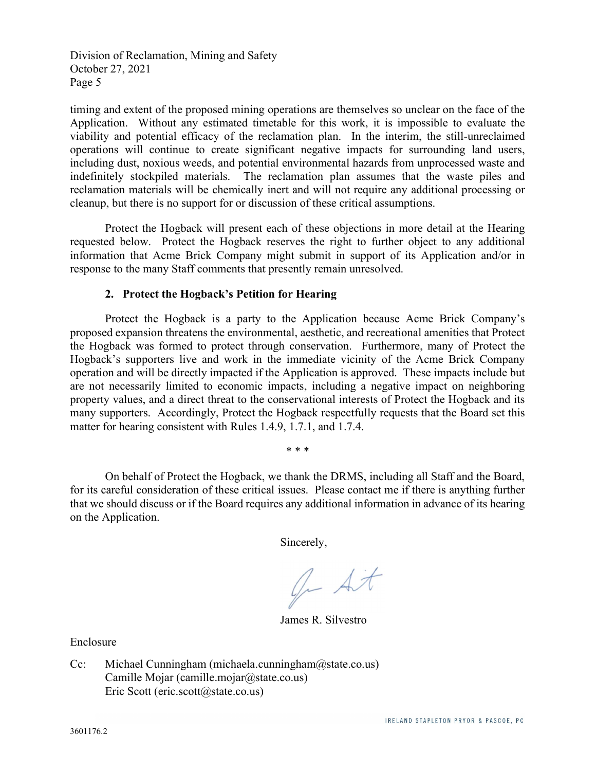timing and extent of the proposed mining operations are themselves so unclear on the face of the Application. Without any estimated timetable for this work, it is impossible to evaluate the viability and potential efficacy of the reclamation plan. In the interim, the still-unreclaimed operations will continue to create significant negative impacts for surrounding land users, including dust, noxious weeds, and potential environmental hazards from unprocessed waste and indefinitely stockpiled materials. The reclamation plan assumes that the waste piles and reclamation materials will be chemically inert and will not require any additional processing or cleanup, but there is no support for or discussion of these critical assumptions.

Protect the Hogback will present each of these objections in more detail at the Hearing requested below. Protect the Hogback reserves the right to further object to any additional information that Acme Brick Company might submit in support of its Application and/or in response to the many Staff comments that presently remain unresolved.

#### 2. Protect the Hogback's Petition for Hearing

Protect the Hogback is a party to the Application because Acme Brick Company's proposed expansion threatens the environmental, aesthetic, and recreational amenities that Protect the Hogback was formed to protect through conservation. Furthermore, many of Protect the Hogback's supporters live and work in the immediate vicinity of the Acme Brick Company operation and will be directly impacted if the Application is approved. These impacts include but are not necessarily limited to economic impacts, including a negative impact on neighboring property values, and a direct threat to the conservational interests of Protect the Hogback and its many supporters. Accordingly, Protect the Hogback respectfully requests that the Board set this matter for hearing consistent with Rules 1.4.9, 1.7.1, and 1.7.4.

 On behalf of Protect the Hogback, we thank the DRMS, including all Staff and the Board, for its careful consideration of these critical issues. Please contact me if there is anything further that we should discuss or if the Board requires any additional information in advance of its hearing on the Application.

\* \* \*

Sincerely,

Or At

James R. Silvestro

Enclosure

Cc: Michael Cunningham (michaela.cunningham@state.co.us) Camille Mojar (camille.mojar@state.co.us) Eric Scott (eric.scott@state.co.us)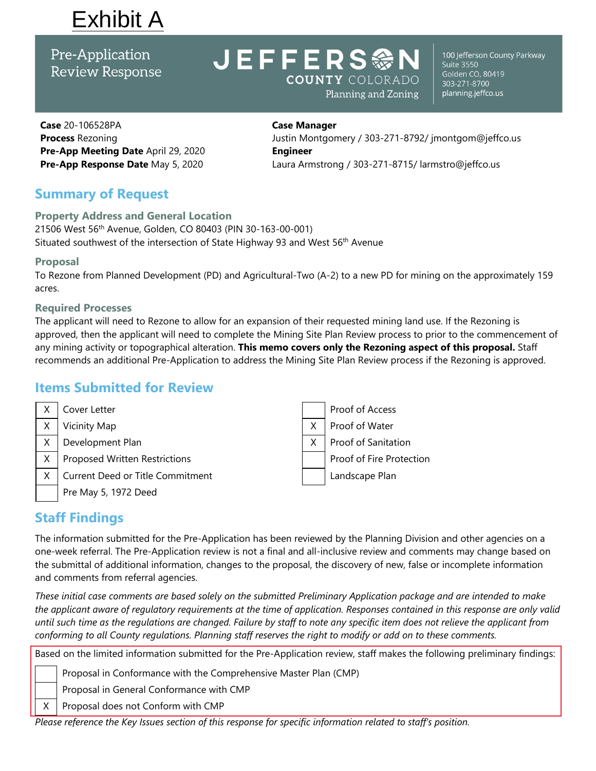# Exhibit A

Pre-Application **Review Response** 

# **JEFFERS <>>>>>>>>>>>>>>>>>>> COUNTY COLORADO** Planning and Zoning

100 Jefferson County Parkway **Suite 3550** Golden CO, 80419 303-271-8700 planning.jeffco.us

**Case** 20-106528PA **Process** Rezoning **Pre-App Meeting Date** April 29, 2020 **Pre-App Response Date** May 5, 2020

# **Case Manager**

Justin Montgomery / 303-271-8792/ jmontgom@jeffco.us **Engineer** Laura Armstrong / 303-271-8715/ larmstro@jeffco.us

### **Summary of Request**

#### **Property Address and General Location**

21506 West 56<sup>th</sup> Avenue, Golden, CO 80403 (PIN 30-163-00-001) Situated southwest of the intersection of State Highway 93 and West 56<sup>th</sup> Avenue

#### **Proposal**

To Rezone from Planned Development (PD) and Agricultural-Two (A-2) to a new PD for mining on the approximately 159 acres.

#### **Required Processes**

The applicant will need to Rezone to allow for an expansion of their requested mining land use. If the Rezoning is approved, then the applicant will need to complete the Mining Site Plan Review process to prior to the commencement of any mining activity or topographical alteration. **This memo covers only the Rezoning aspect of this proposal.** Staff recommends an additional Pre-Application to address the Mining Site Plan Review process if the Rezoning is approved.

### **Items Submitted for Review**



### **Staff Findings**

The information submitted for the Pre-Application has been reviewed by the Planning Division and other agencies on a one-week referral. The Pre-Application review is not a final and all-inclusive review and comments may change based on the submittal of additional information, changes to the proposal, the discovery of new, false or incomplete information and comments from referral agencies.

*These initial case comments are based solely on the submitted Preliminary Application package and are intended to make the applicant aware of regulatory requirements at the time of application. Responses contained in this response are only valid until such time as the regulations are changed. Failure by staff to note any specific item does not relieve the applicant from conforming to all County regulations. Planning staff reserves the right to modify or add on to these comments.* 

Based on the limited information submitted for the Pre-Application review, staff makes the following preliminary findings:

Proposal in Conformance with the Comprehensive Master Plan (CMP)

Proposal in General Conformance with CMP

 $X$  Proposal does not Conform with CMP

*Please reference the Key Issues section of this response for specific information related to staff's position.*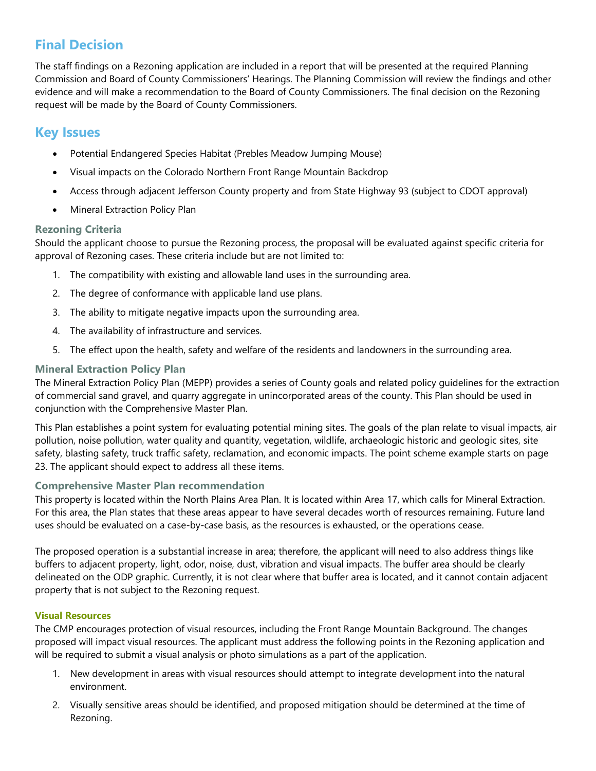## **Final Decision**

The staff findings on a Rezoning application are included in a report that will be presented at the required Planning Commission and Board of County Commissioners' Hearings. The Planning Commission will review the findings and other evidence and will make a recommendation to the Board of County Commissioners. The final decision on the Rezoning request will be made by the Board of County Commissioners.

### **Key Issues**

- Potential Endangered Species Habitat (Prebles Meadow Jumping Mouse)
- Visual impacts on the Colorado Northern Front Range Mountain Backdrop
- Access through adjacent Jefferson County property and from State Highway 93 (subject to CDOT approval)
- Mineral Extraction Policy Plan

#### **Rezoning Criteria**

Should the applicant choose to pursue the Rezoning process, the proposal will be evaluated against specific criteria for approval of Rezoning cases. These criteria include but are not limited to:

- 1. The compatibility with existing and allowable land uses in the surrounding area.
- 2. The degree of conformance with applicable land use plans.
- 3. The ability to mitigate negative impacts upon the surrounding area.
- 4. The availability of infrastructure and services.
- 5. The effect upon the health, safety and welfare of the residents and landowners in the surrounding area.

#### **Mineral Extraction Policy Plan**

The Mineral Extraction Policy Plan (MEPP) provides a series of County goals and related policy guidelines for the extraction of commercial sand gravel, and quarry aggregate in unincorporated areas of the county. This Plan should be used in conjunction with the Comprehensive Master Plan.

This Plan establishes a point system for evaluating potential mining sites. The goals of the plan relate to visual impacts, air pollution, noise pollution, water quality and quantity, vegetation, wildlife, archaeologic historic and geologic sites, site safety, blasting safety, truck traffic safety, reclamation, and economic impacts. The point scheme example starts on page 23. The applicant should expect to address all these items.

#### **Comprehensive Master Plan recommendation**

This property is located within the North Plains Area Plan. It is located within Area 17, which calls for Mineral Extraction. For this area, the Plan states that these areas appear to have several decades worth of resources remaining. Future land uses should be evaluated on a case-by-case basis, as the resources is exhausted, or the operations cease.

The proposed operation is a substantial increase in area; therefore, the applicant will need to also address things like buffers to adjacent property, light, odor, noise, dust, vibration and visual impacts. The buffer area should be clearly delineated on the ODP graphic. Currently, it is not clear where that buffer area is located, and it cannot contain adjacent property that is not subject to the Rezoning request.

#### **Visual Resources**

The CMP encourages protection of visual resources, including the Front Range Mountain Background. The changes proposed will impact visual resources. The applicant must address the following points in the Rezoning application and will be required to submit a visual analysis or photo simulations as a part of the application.

- 1. New development in areas with visual resources should attempt to integrate development into the natural environment.
- 2. Visually sensitive areas should be identified, and proposed mitigation should be determined at the time of Rezoning.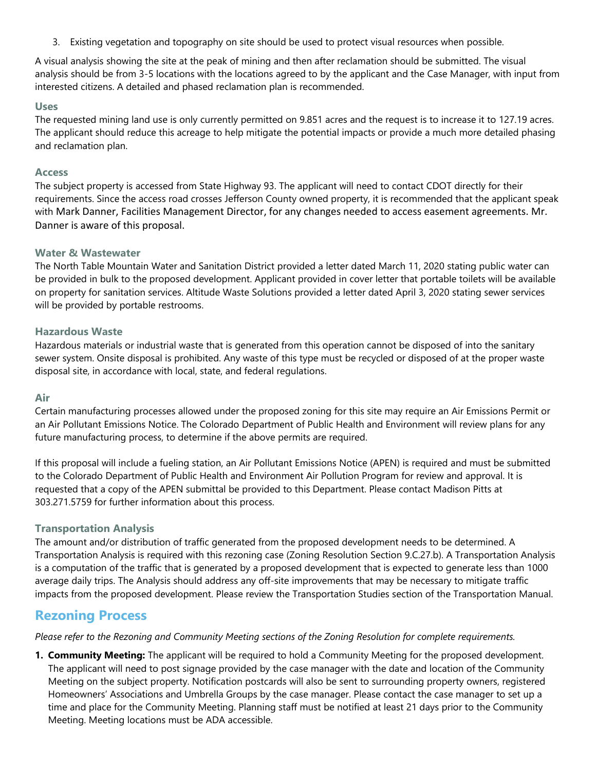3. Existing vegetation and topography on site should be used to protect visual resources when possible.

A visual analysis showing the site at the peak of mining and then after reclamation should be submitted. The visual analysis should be from 3-5 locations with the locations agreed to by the applicant and the Case Manager, with input from interested citizens. A detailed and phased reclamation plan is recommended.

#### **Uses**

The requested mining land use is only currently permitted on 9.851 acres and the request is to increase it to 127.19 acres. The applicant should reduce this acreage to help mitigate the potential impacts or provide a much more detailed phasing and reclamation plan.

#### **Access**

The subject property is accessed from State Highway 93. The applicant will need to contact CDOT directly for their requirements. Since the access road crosses Jefferson County owned property, it is recommended that the applicant speak with Mark Danner, Facilities Management Director, for any changes needed to access easement agreements. Mr. Danner is aware of this proposal.

#### **Water & Wastewater**

The North Table Mountain Water and Sanitation District provided a letter dated March 11, 2020 stating public water can be provided in bulk to the proposed development. Applicant provided in cover letter that portable toilets will be available on property for sanitation services. Altitude Waste Solutions provided a letter dated April 3, 2020 stating sewer services will be provided by portable restrooms.

#### **Hazardous Waste**

Hazardous materials or industrial waste that is generated from this operation cannot be disposed of into the sanitary sewer system. Onsite disposal is prohibited. Any waste of this type must be recycled or disposed of at the proper waste disposal site, in accordance with local, state, and federal regulations.

#### **Air**

Certain manufacturing processes allowed under the proposed zoning for this site may require an Air Emissions Permit or an Air Pollutant Emissions Notice. The Colorado Department of Public Health and Environment will review plans for any future manufacturing process, to determine if the above permits are required.

If this proposal will include a fueling station, an Air Pollutant Emissions Notice (APEN) is required and must be submitted to the Colorado Department of Public Health and Environment Air Pollution Program for review and approval. It is requested that a copy of the APEN submittal be provided to this Department. Please contact Madison Pitts at 303.271.5759 for further information about this process.

#### **Transportation Analysis**

The amount and/or distribution of traffic generated from the proposed development needs to be determined. A Transportation Analysis is required with this rezoning case (Zoning Resolution Section 9.C.27.b). A Transportation Analysis is a computation of the traffic that is generated by a proposed development that is expected to generate less than 1000 average daily trips. The Analysis should address any off-site improvements that may be necessary to mitigate traffic impacts from the proposed development. Please review the Transportation Studies section of the Transportation Manual.

#### **Rezoning Process**

*Please refer to the Rezoning and Community Meeting sections of the Zoning Resolution for complete requirements.*

**1. Community Meeting:** The applicant will be required to hold a Community Meeting for the proposed development. The applicant will need to post signage provided by the case manager with the date and location of the Community Meeting on the subject property. Notification postcards will also be sent to surrounding property owners, registered Homeowners' Associations and Umbrella Groups by the case manager. Please contact the case manager to set up a time and place for the Community Meeting. Planning staff must be notified at least 21 days prior to the Community Meeting. Meeting locations must be ADA accessible.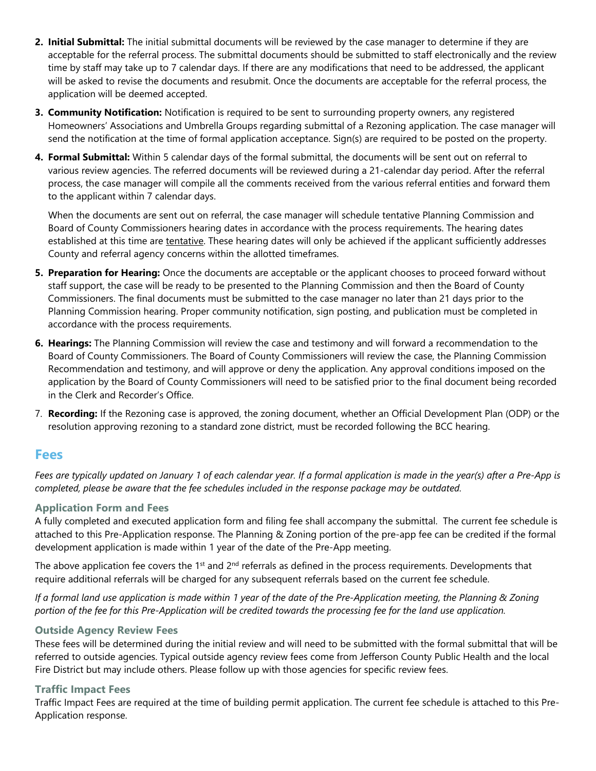- **2. Initial Submittal:** The initial submittal documents will be reviewed by the case manager to determine if they are acceptable for the referral process. The submittal documents should be submitted to staff electronically and the review time by staff may take up to 7 calendar days. If there are any modifications that need to be addressed, the applicant will be asked to revise the documents and resubmit. Once the documents are acceptable for the referral process, the application will be deemed accepted.
- **3. Community Notification:** Notification is required to be sent to surrounding property owners, any registered Homeowners' Associations and Umbrella Groups regarding submittal of a Rezoning application. The case manager will send the notification at the time of formal application acceptance. Sign(s) are required to be posted on the property.
- **4. Formal Submittal:** Within 5 calendar days of the formal submittal, the documents will be sent out on referral to various review agencies. The referred documents will be reviewed during a 21-calendar day period. After the referral process, the case manager will compile all the comments received from the various referral entities and forward them to the applicant within 7 calendar days.

When the documents are sent out on referral, the case manager will schedule tentative Planning Commission and Board of County Commissioners hearing dates in accordance with the process requirements. The hearing dates established at this time are tentative. These hearing dates will only be achieved if the applicant sufficiently addresses County and referral agency concerns within the allotted timeframes.

- **5. Preparation for Hearing:** Once the documents are acceptable or the applicant chooses to proceed forward without staff support, the case will be ready to be presented to the Planning Commission and then the Board of County Commissioners. The final documents must be submitted to the case manager no later than 21 days prior to the Planning Commission hearing. Proper community notification, sign posting, and publication must be completed in accordance with the process requirements.
- **6. Hearings:** The Planning Commission will review the case and testimony and will forward a recommendation to the Board of County Commissioners. The Board of County Commissioners will review the case, the Planning Commission Recommendation and testimony, and will approve or deny the application. Any approval conditions imposed on the application by the Board of County Commissioners will need to be satisfied prior to the final document being recorded in the Clerk and Recorder's Office.
- 7. **Recording:** If the Rezoning case is approved, the zoning document, whether an Official Development Plan (ODP) or the resolution approving rezoning to a standard zone district, must be recorded following the BCC hearing.

#### **Fees**

*Fees are typically updated on January 1 of each calendar year. If a formal application is made in the year(s) after a Pre-App is completed, please be aware that the fee schedules included in the response package may be outdated.*

#### **Application Form and Fees**

A fully completed and executed application form and filing fee shall accompany the submittal. The current fee schedule is attached to this Pre-Application response. The Planning & Zoning portion of the pre-app fee can be credited if the formal development application is made within 1 year of the date of the Pre-App meeting.

The above application fee covers the 1<sup>st</sup> and  $2^{nd}$  referrals as defined in the process requirements. Developments that require additional referrals will be charged for any subsequent referrals based on the current fee schedule.

*If a formal land use application is made within 1 year of the date of the Pre-Application meeting, the Planning & Zoning portion of the fee for this Pre-Application will be credited towards the processing fee for the land use application.*

#### **Outside Agency Review Fees**

These fees will be determined during the initial review and will need to be submitted with the formal submittal that will be referred to outside agencies. Typical outside agency review fees come from Jefferson County Public Health and the local Fire District but may include others. Please follow up with those agencies for specific review fees.

#### **Traffic Impact Fees**

Traffic Impact Fees are required at the time of building permit application. The current fee schedule is attached to this Pre-Application response.